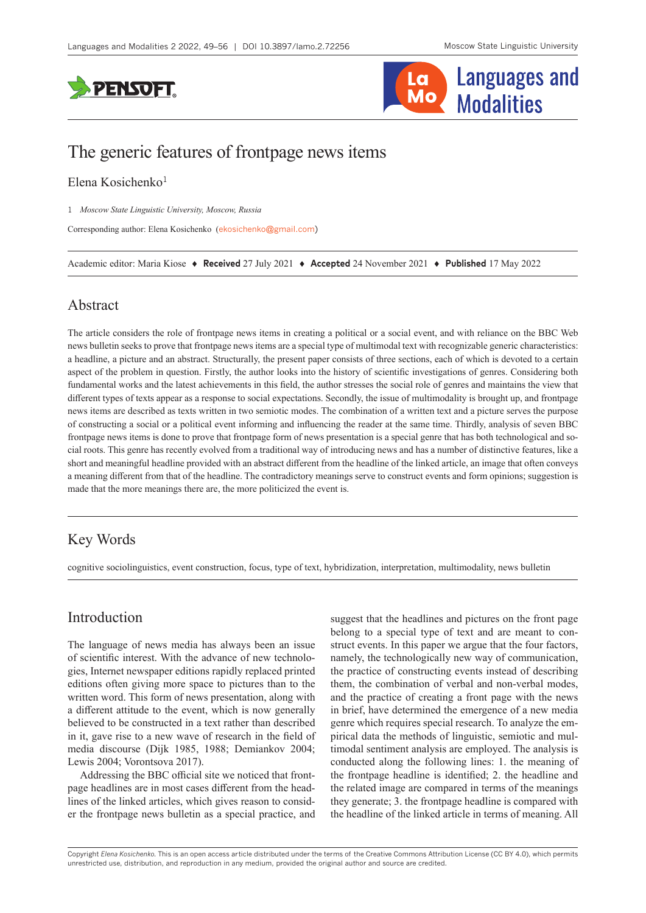



# The generic features of frontpage news items

### Elena Kosichenko<sup>1</sup>

1 *Moscow State Linguistic University, Moscow, Russia*

Corresponding author: Elena Kosichenko ([ekosichenko@gmail.com](mailto:ekosichenko@gmail.com))

Academic editor: Maria Kiose ♦ **Received** 27 July 2021 ♦ **Accepted** 24 November 2021 ♦ **Published** 17 May 2022

## Abstract

The article considers the role of frontpage news items in creating a political or a social event, and with reliance on the BBC Web news bulletin seeks to prove that frontpage news items are a special type of multimodal text with recognizable generic characteristics: a headline, a picture and an abstract. Structurally, the present paper consists of three sections, each of which is devoted to a certain aspect of the problem in question. Firstly, the author looks into the history of scientific investigations of genres. Considering both fundamental works and the latest achievements in this field, the author stresses the social role of genres and maintains the view that different types of texts appear as a response to social expectations. Secondly, the issue of multimodality is brought up, and frontpage news items are described as texts written in two semiotic modes. The combination of a written text and a picture serves the purpose of constructing a social or a political event informing and influencing the reader at the same time. Thirdly, analysis of seven BBC frontpage news items is done to prove that frontpage form of news presentation is a special genre that has both technological and social roots. This genre has recently evolved from a traditional way of introducing news and has a number of distinctive features, like a short and meaningful headline provided with an abstract different from the headline of the linked article, an image that often conveys a meaning different from that of the headline. The contradictory meanings serve to construct events and form opinions; suggestion is made that the more meanings there are, the more politicized the event is.

# Key Words

cognitive sociolinguistics, event construction, focus, type of text, hybridization, interpretation, multimodality, news bulletin

## Introduction

The language of news media has always been an issue of scientific interest. With the advance of new technologies, Internet newspaper editions rapidly replaced printed editions often giving more space to pictures than to the written word. This form of news presentation, along with a different attitude to the event, which is now generally believed to be constructed in a text rather than described in it, gave rise to a new wave of research in the field of media discourse (Dijk 1985, 1988; Demiankov 2004; Lewis 2004; Vorontsova 2017).

Addressing the BBC official site we noticed that frontpage headlines are in most cases different from the headlines of the linked articles, which gives reason to consider the frontpage news bulletin as a special practice, and

suggest that the headlines and pictures on the front page belong to a special type of text and are meant to construct events. In this paper we argue that the four factors, namely, the technologically new way of communication, the practice of constructing events instead of describing them, the combination of verbal and non-verbal modes, and the practice of creating a front page with the news in brief, have determined the emergence of a new media genre which requires special research. To analyze the empirical data the methods of linguistic, semiotic and multimodal sentiment analysis are employed. The analysis is conducted along the following lines: 1. the meaning of the frontpage headline is identified; 2. the headline and the related image are compared in terms of the meanings they generate; 3. the frontpage headline is compared with the headline of the linked article in terms of meaning. All

Copyright *Elena Kosichenko.* This is an open access article distributed under the terms of the [Creative Commons Attribution License \(CC BY 4.0\)](http://creativecommons.org/licenses/by/4.0/), which permits unrestricted use, distribution, and reproduction in any medium, provided the original author and source are credited.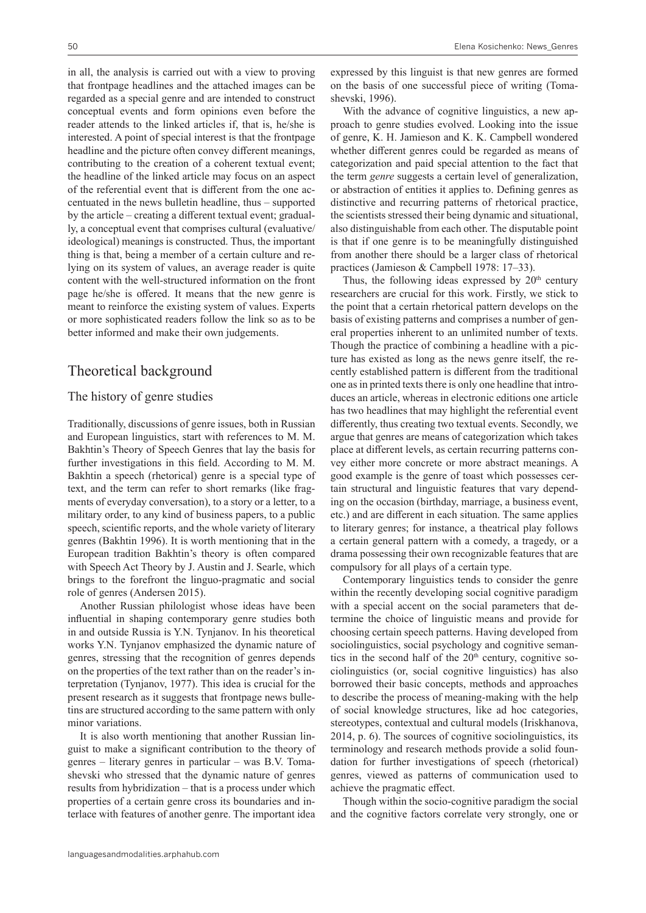in all, the analysis is carried out with a view to proving that frontpage headlines and the attached images can be regarded as a special genre and are intended to construct conceptual events and form opinions even before the reader attends to the linked articles if, that is, he/she is interested. A point of special interest is that the frontpage headline and the picture often convey different meanings, contributing to the creation of a coherent textual event; the headline of the linked article may focus on an aspect of the referential event that is different from the one accentuated in the news bulletin headline, thus – supported by the article – creating a different textual event; gradually, a conceptual event that comprises cultural (evaluative/ ideological) meanings is constructed. Thus, the important thing is that, being a member of a certain culture and relying on its system of values, an average reader is quite content with the well-structured information on the front page he/she is offered. It means that the new genre is meant to reinforce the existing system of values. Experts or more sophisticated readers follow the link so as to be better informed and make their own judgements.

## Theoretical background

#### The history of genre studies

Traditionally, discussions of genre issues, both in Russian and European linguistics, start with references to M. M. Bakhtin's Theory of Speech Genres that lay the basis for further investigations in this field. According to M. M. Bakhtin a speech (rhetorical) genre is a special type of text, and the term can refer to short remarks (like fragments of everyday conversation), to a story or a letter, to a military order, to any kind of business papers, to a public speech, scientific reports, and the whole variety of literary genres (Bakhtin 1996). It is worth mentioning that in the European tradition Bakhtin's theory is often compared with Speech Act Theory by J. Austin and J. Searle, which brings to the forefront the linguo-pragmatic and social role of genres (Andersen 2015).

Another Russian philologist whose ideas have been influential in shaping contemporary genre studies both in and outside Russia is Y.N. Tynjanov. In his theoretical works Y.N. Tynjanov emphasized the dynamic nature of genres, stressing that the recognition of genres depends on the properties of the text rather than on the reader's interpretation (Tynjanov, 1977). This idea is crucial for the present research as it suggests that frontpage news bulletins are structured according to the same pattern with only minor variations.

It is also worth mentioning that another Russian linguist to make a significant contribution to the theory of genres – literary genres in particular – was B.V. Tomashevski who stressed that the dynamic nature of genres results from hybridization – that is a process under which properties of a certain genre cross its boundaries and interlace with features of another genre. The important idea

expressed by this linguist is that new genres are formed on the basis of one successful piece of writing (Tomashevski, 1996).

With the advance of cognitive linguistics, a new approach to genre studies evolved. Looking into the issue of genre, K. H. Jamieson and K. K. Campbell wondered whether different genres could be regarded as means of categorization and paid special attention to the fact that the term *genre* suggests a certain level of generalization, or abstraction of entities it applies to. Defining genres as distinctive and recurring patterns of rhetorical practice, the scientists stressed their being dynamic and situational, also distinguishable from each other. The disputable point is that if one genre is to be meaningfully distinguished from another there should be a larger class of rhetorical practices (Jamieson & Campbell 1978: 17–33).

Thus, the following ideas expressed by  $20<sup>th</sup>$  century researchers are crucial for this work. Firstly, we stick to the point that a certain rhetorical pattern develops on the basis of existing patterns and comprises a number of general properties inherent to an unlimited number of texts. Though the practice of combining a headline with a picture has existed as long as the news genre itself, the recently established pattern is different from the traditional one as in printed texts there is only one headline that introduces an article, whereas in electronic editions one article has two headlines that may highlight the referential event differently, thus creating two textual events. Secondly, we argue that genres are means of categorization which takes place at different levels, as certain recurring patterns convey either more concrete or more abstract meanings. A good example is the genre of toast which possesses certain structural and linguistic features that vary depending on the occasion (birthday, marriage, a business event, etc.) and are different in each situation. The same applies to literary genres; for instance, a theatrical play follows a certain general pattern with a comedy, a tragedy, or a drama possessing their own recognizable features that are compulsory for all plays of a certain type.

Contemporary linguistics tends to consider the genre within the recently developing social cognitive paradigm with a special accent on the social parameters that determine the choice of linguistic means and provide for choosing certain speech patterns. Having developed from sociolinguistics, social psychology and cognitive semantics in the second half of the  $20<sup>th</sup>$  century, cognitive sociolinguistics (or, social cognitive linguistics) has also borrowed their basic concepts, methods and approaches to describe the process of meaning-making with the help of social knowledge structures, like ad hoc categories, stereotypes, contextual and cultural models (Iriskhanova, 2014, p. 6). The sources of cognitive sociolinguistics, its terminology and research methods provide a solid foundation for further investigations of speech (rhetorical) genres, viewed as patterns of communication used to achieve the pragmatic effect.

Though within the socio-cognitive paradigm the social and the cognitive factors correlate very strongly, one or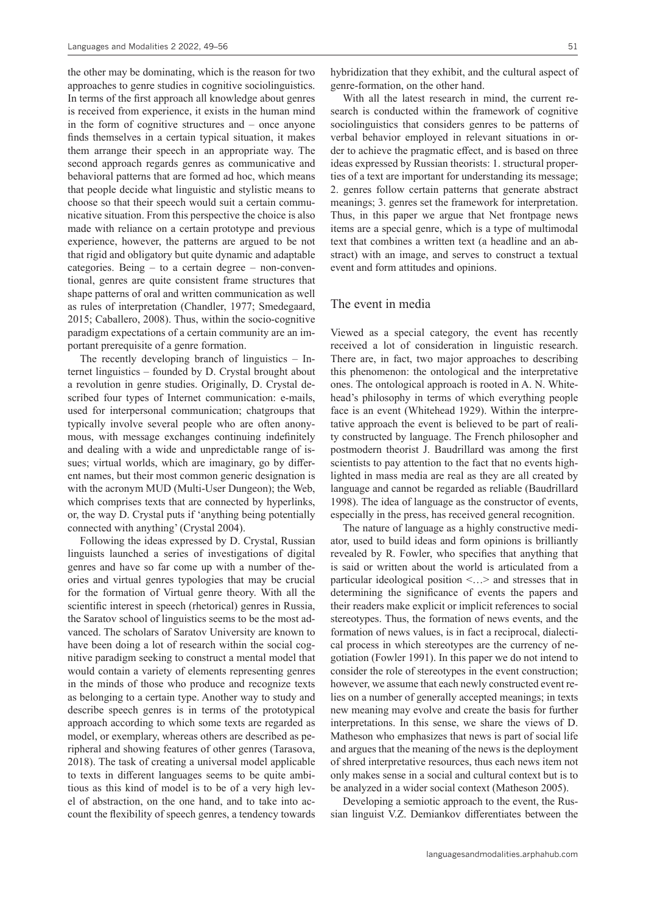the other may be dominating, which is the reason for two approaches to genre studies in cognitive sociolinguistics. In terms of the first approach all knowledge about genres is received from experience, it exists in the human mind in the form of cognitive structures and – once anyone finds themselves in a certain typical situation, it makes them arrange their speech in an appropriate way. The second approach regards genres as communicative and behavioral patterns that are formed ad hoc, which means that people decide what linguistic and stylistic means to choose so that their speech would suit a certain communicative situation. From this perspective the choice is also made with reliance on a certain prototype and previous experience, however, the patterns are argued to be not that rigid and obligatory but quite dynamic and adaptable categories. Being – to a certain degree – non-conventional, genres are quite consistent frame structures that shape patterns of oral and written communication as well as rules of interpretation (Chandler, 1977; Smedegaard, 2015; Caballero, 2008). Thus, within the socio-cognitive paradigm expectations of a certain community are an important prerequisite of a genre formation.

The recently developing branch of linguistics – Internet linguistics – founded by D. Crystal brought about a revolution in genre studies. Originally, D. Crystal described four types of Internet communication: e-mails, used for interpersonal communication; chatgroups that typically involve several people who are often anonymous, with message exchanges continuing indefinitely and dealing with a wide and unpredictable range of issues; virtual worlds, which are imaginary, go by different names, but their most common generic designation is with the acronym MUD (Multi-User Dungeon); the Web, which comprises texts that are connected by hyperlinks, or, the way D. Crystal puts if 'anything being potentially connected with anything' (Crystal 2004).

Following the ideas expressed by D. Crystal, Russian linguists launched a series of investigations of digital genres and have so far come up with a number of theories and virtual genres typologies that may be crucial for the formation of Virtual genre theory. With all the scientific interest in speech (rhetorical) genres in Russia, the Saratov school of linguistics seems to be the most advanced. The scholars of Saratov University are known to have been doing a lot of research within the social cognitive paradigm seeking to construct a mental model that would contain a variety of elements representing genres in the minds of those who produce and recognize texts as belonging to a certain type. Another way to study and describe speech genres is in terms of the prototypical approach according to which some texts are regarded as model, or exemplary, whereas others are described as peripheral and showing features of other genres (Tarasova, 2018). The task of creating a universal model applicable to texts in different languages seems to be quite ambitious as this kind of model is to be of a very high level of abstraction, on the one hand, and to take into account the flexibility of speech genres, a tendency towards hybridization that they exhibit, and the cultural aspect of genre-formation, on the other hand.

With all the latest research in mind, the current research is conducted within the framework of cognitive sociolinguistics that considers genres to be patterns of verbal behavior employed in relevant situations in order to achieve the pragmatic effect, and is based on three ideas expressed by Russian theorists: 1. structural properties of a text are important for understanding its message; 2. genres follow certain patterns that generate abstract meanings; 3. genres set the framework for interpretation. Thus, in this paper we argue that Net frontpage news items are a special genre, which is a type of multimodal text that combines a written text (a headline and an abstract) with an image, and serves to construct a textual event and form attitudes and opinions.

#### The event in media

Viewed as a special category, the event has recently received a lot of consideration in linguistic research. There are, in fact, two major approaches to describing this phenomenon: the ontological and the interpretative ones. The ontological approach is rooted in A. N. Whitehead's philosophy in terms of which everything people face is an event (Whitehead 1929). Within the interpretative approach the event is believed to be part of reality constructed by language. The French philosopher and postmodern theorist J. Baudrillard was among the first scientists to pay attention to the fact that no events highlighted in mass media are real as they are all created by language and cannot be regarded as reliable (Baudrillard 1998). The idea of language as the constructor of events, especially in the press, has received general recognition.

The nature of language as a highly constructive mediator, used to build ideas and form opinions is brilliantly revealed by R. Fowler, who specifies that anything that is said or written about the world is articulated from a particular ideological position <…> and stresses that in determining the significance of events the papers and their readers make explicit or implicit references to social stereotypes. Thus, the formation of news events, and the formation of news values, is in fact a reciprocal, dialectical process in which stereotypes are the currency of negotiation (Fowler 1991). In this paper we do not intend to consider the role of stereotypes in the event construction; however, we assume that each newly constructed event relies on a number of generally accepted meanings; in texts new meaning may evolve and create the basis for further interpretations. In this sense, we share the views of D. Matheson who emphasizes that news is part of social life and argues that the meaning of the news is the deployment of shred interpretative resources, thus each news item not only makes sense in a social and cultural context but is to be analyzed in a wider social context (Matheson 2005).

Developing a semiotic approach to the event, the Russian linguist V.Z. Demiankov differentiates between the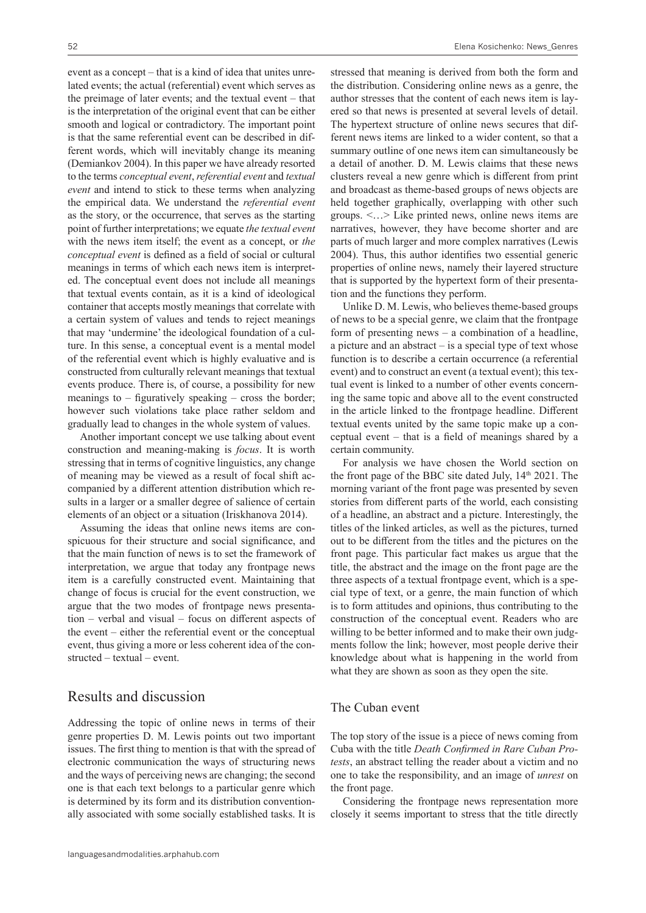event as a concept – that is a kind of idea that unites unrelated events; the actual (referential) event which serves as the preimage of later events; and the textual event – that is the interpretation of the original event that can be either smooth and logical or contradictory. The important point is that the same referential event can be described in different words, which will inevitably change its meaning (Demiankov 2004). In this paper we have already resorted to the terms *conceptual event*, *referential event* and *textual event* and intend to stick to these terms when analyzing the empirical data. We understand the *referential event* as the story, or the occurrence, that serves as the starting point of further interpretations; we equate *the textual event* with the news item itself; the event as a concept, or *the conceptual event* is defined as a field of social or cultural meanings in terms of which each news item is interpreted. The conceptual event does not include all meanings that textual events contain, as it is a kind of ideological container that accepts mostly meanings that correlate with a certain system of values and tends to reject meanings that may 'undermine' the ideological foundation of a culture. In this sense, a conceptual event is a mental model of the referential event which is highly evaluative and is constructed from culturally relevant meanings that textual events produce. There is, of course, a possibility for new meanings to  $-$  figuratively speaking  $-$  cross the border; however such violations take place rather seldom and gradually lead to changes in the whole system of values.

Another important concept we use talking about event construction and meaning-making is *focus*. It is worth stressing that in terms of cognitive linguistics, any change of meaning may be viewed as a result of focal shift accompanied by a different attention distribution which results in a larger or a smaller degree of salience of certain elements of an object or a situation (Iriskhanova 2014).

Assuming the ideas that online news items are conspicuous for their structure and social significance, and that the main function of news is to set the framework of interpretation, we argue that today any frontpage news item is a carefully constructed event. Maintaining that change of focus is crucial for the event construction, we argue that the two modes of frontpage news presentation – verbal and visual – focus on different aspects of the event – either the referential event or the conceptual event, thus giving a more or less coherent idea of the constructed – textual – event.

## Results and discussion

Addressing the topic of online news in terms of their genre properties D. M. Lewis points out two important issues. The first thing to mention is that with the spread of electronic communication the ways of structuring news and the ways of perceiving news are changing; the second one is that each text belongs to a particular genre which is determined by its form and its distribution conventionally associated with some socially established tasks. It is

stressed that meaning is derived from both the form and the distribution. Considering online news as a genre, the author stresses that the content of each news item is layered so that news is presented at several levels of detail. The hypertext structure of online news secures that different news items are linked to a wider content, so that a summary outline of one news item can simultaneously be a detail of another. D. M. Lewis claims that these news clusters reveal a new genre which is different from print and broadcast as theme-based groups of news objects are held together graphically, overlapping with other such groups. <…> Like printed news, online news items are narratives, however, they have become shorter and are parts of much larger and more complex narratives (Lewis 2004). Thus, this author identifies two essential generic properties of online news, namely their layered structure that is supported by the hypertext form of their presentation and the functions they perform.

Unlike D. M. Lewis, who believes theme-based groups of news to be a special genre, we claim that the frontpage form of presenting news  $-$  a combination of a headline, a picture and an abstract – is a special type of text whose function is to describe a certain occurrence (a referential event) and to construct an event (a textual event); this textual event is linked to a number of other events concerning the same topic and above all to the event constructed in the article linked to the frontpage headline. Different textual events united by the same topic make up a conceptual event – that is a field of meanings shared by a certain community.

For analysis we have chosen the World section on the front page of the BBC site dated July,  $14<sup>th</sup> 2021$ . The morning variant of the front page was presented by seven stories from different parts of the world, each consisting of a headline, an abstract and a picture. Interestingly, the titles of the linked articles, as well as the pictures, turned out to be different from the titles and the pictures on the front page. This particular fact makes us argue that the title, the abstract and the image on the front page are the three aspects of a textual frontpage event, which is a special type of text, or a genre, the main function of which is to form attitudes and opinions, thus contributing to the construction of the conceptual event. Readers who are willing to be better informed and to make their own judgments follow the link; however, most people derive their knowledge about what is happening in the world from what they are shown as soon as they open the site.

## The Cuban event

The top story of the issue is a piece of news coming from Cuba with the title *Death Confirmed in Rare Cuban Protests*, an abstract telling the reader about a victim and no one to take the responsibility, and an image of *unrest* on the front page.

Considering the frontpage news representation more closely it seems important to stress that the title directly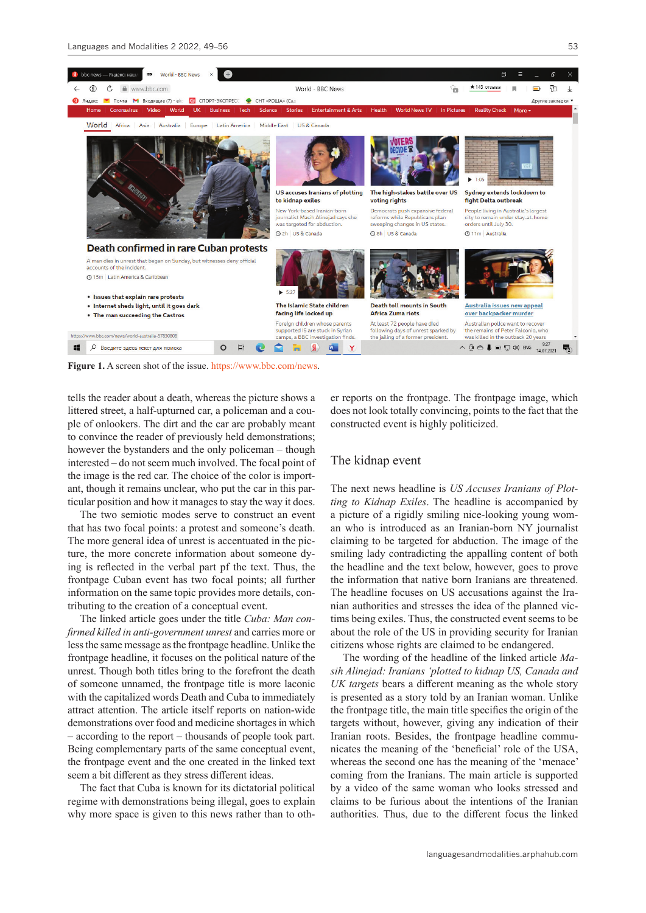



**Figure 1.** A screen shot of the issue. [https://www.bbc.com/news.](https://www.bbc.com/news)

tells the reader about a death, whereas the picture shows a littered street, a half-upturned car, a policeman and a couple of onlookers. The dirt and the car are probably meant to convince the reader of previously held demonstrations; however the bystanders and the only policeman – though interested – do not seem much involved. The focal point of the image is the red car. The choice of the color is important, though it remains unclear, who put the car in this particular position and how it manages to stay the way it does.

The two semiotic modes serve to construct an event that has two focal points: a protest and someone's death. The more general idea of unrest is accentuated in the picture, the more concrete information about someone dying is reflected in the verbal part pf the text. Thus, the frontpage Cuban event has two focal points; all further information on the same topic provides more details, contributing to the creation of a conceptual event.

The linked article goes under the title *Cuba: Man confirmed killed in anti-government unrest* and carries more or less the same message as the frontpage headline. Unlike the frontpage headline, it focuses on the political nature of the unrest. Though both titles bring to the forefront the death of someone unnamed, the frontpage title is more laconic with the capitalized words Death and Cuba to immediately attract attention. The article itself reports on nation-wide demonstrations over food and medicine shortages in which – according to the report – thousands of people took part. Being complementary parts of the same conceptual event, the frontpage event and the one created in the linked text seem a bit different as they stress different ideas.

The fact that Cuba is known for its dictatorial political regime with demonstrations being illegal, goes to explain why more space is given to this news rather than to other reports on the frontpage. The frontpage image, which does not look totally convincing, points to the fact that the constructed event is highly politicized.

#### The kidnap event

The next news headline is *US Accuses Iranians of Plotting to Kidnap Exiles*. The headline is accompanied by a picture of a rigidly smiling nice-looking young woman who is introduced as an Iranian-born NY journalist claiming to be targeted for abduction. The image of the smiling lady contradicting the appalling content of both the headline and the text below, however, goes to prove the information that native born Iranians are threatened. The headline focuses on US accusations against the Iranian authorities and stresses the idea of the planned victims being exiles. Thus, the constructed event seems to be about the role of the US in providing security for Iranian citizens whose rights are claimed to be endangered.

The wording of the headline of the linked article *Masih Alinejad: Iranians 'plotted to kidnap US, Canada and UK targets* bears a different meaning as the whole story is presented as a story told by an Iranian woman. Unlike the frontpage title, the main title specifies the origin of the targets without, however, giving any indication of their Iranian roots. Besides, the frontpage headline communicates the meaning of the 'beneficial' role of the USA, whereas the second one has the meaning of the 'menace' coming from the Iranians. The main article is supported by a video of the same woman who looks stressed and claims to be furious about the intentions of the Iranian authorities. Thus, due to the different focus the linked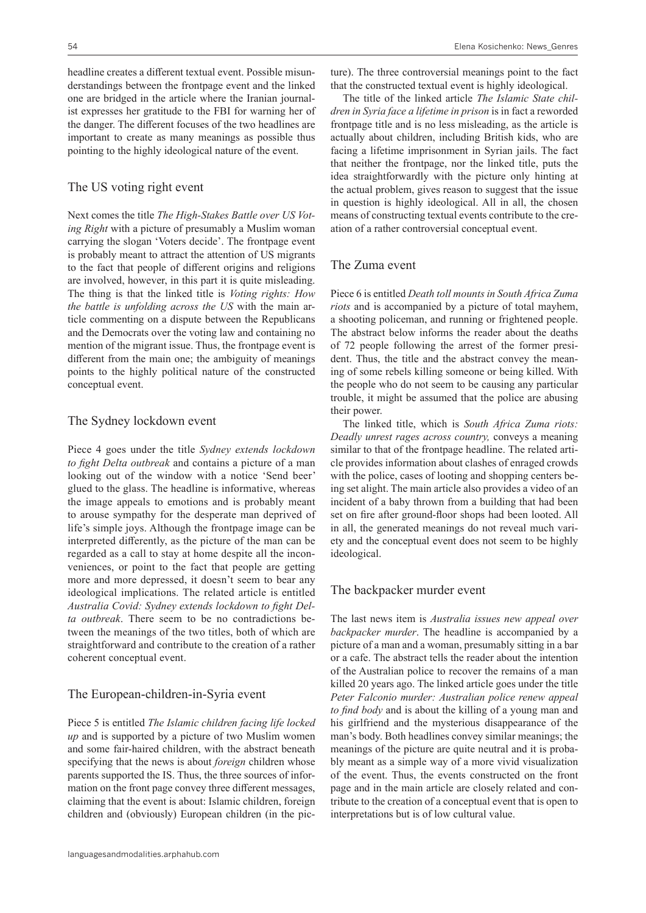headline creates a different textual event. Possible misunderstandings between the frontpage event and the linked one are bridged in the article where the Iranian journalist expresses her gratitude to the FBI for warning her of the danger. The different focuses of the two headlines are important to create as many meanings as possible thus pointing to the highly ideological nature of the event.

#### The US voting right event

Next comes the title *The High-Stakes Battle over US Voting Right* with a picture of presumably a Muslim woman carrying the slogan 'Voters decide'. The frontpage event is probably meant to attract the attention of US migrants to the fact that people of different origins and religions are involved, however, in this part it is quite misleading. The thing is that the linked title is *Voting rights: How the battle is unfolding across the US* with the main article commenting on a dispute between the Republicans and the Democrats over the voting law and containing no mention of the migrant issue. Thus, the frontpage event is different from the main one; the ambiguity of meanings points to the highly political nature of the constructed conceptual event.

#### The Sydney lockdown event

Piece 4 goes under the title *Sydney extends lockdown to fight Delta outbreak* and contains a picture of a man looking out of the window with a notice 'Send beer' glued to the glass. The headline is informative, whereas the image appeals to emotions and is probably meant to arouse sympathy for the desperate man deprived of life's simple joys. Although the frontpage image can be interpreted differently, as the picture of the man can be regarded as a call to stay at home despite all the inconveniences, or point to the fact that people are getting more and more depressed, it doesn't seem to bear any ideological implications. The related article is entitled *Australia Covid: Sydney extends lockdown to fight Delta outbreak*. There seem to be no contradictions between the meanings of the two titles, both of which are straightforward and contribute to the creation of a rather coherent conceptual event.

#### The European-children-in-Syria event

Piece 5 is entitled *The Islamic children facing life locked up* and is supported by a picture of two Muslim women and some fair-haired children, with the abstract beneath specifying that the news is about *foreign* children whose parents supported the IS. Thus, the three sources of information on the front page convey three different messages, claiming that the event is about: Islamic children, foreign children and (obviously) European children (in the pic-

ture). The three controversial meanings point to the fact that the constructed textual event is highly ideological.

The title of the linked article *The Islamic State children in Syria face a lifetime in prison* is in fact a reworded frontpage title and is no less misleading, as the article is actually about children, including British kids, who are facing a lifetime imprisonment in Syrian jails. The fact that neither the frontpage, nor the linked title, puts the idea straightforwardly with the picture only hinting at the actual problem, gives reason to suggest that the issue in question is highly ideological. All in all, the chosen means of constructing textual events contribute to the creation of a rather controversial conceptual event.

## The Zuma event

Piece 6 is entitled *Death toll mounts in South Africa Zuma riots* and is accompanied by a picture of total mayhem, a shooting policeman, and running or frightened people. The abstract below informs the reader about the deaths of 72 people following the arrest of the former president. Thus, the title and the abstract convey the meaning of some rebels killing someone or being killed. With the people who do not seem to be causing any particular trouble, it might be assumed that the police are abusing their power.

The linked title, which is *South Africa Zuma riots: Deadly unrest rages across country,* conveys a meaning similar to that of the frontpage headline. The related article provides information about clashes of enraged crowds with the police, cases of looting and shopping centers being set alight. The main article also provides a video of an incident of a baby thrown from a building that had been set on fire after ground-floor shops had been looted. All in all, the generated meanings do not reveal much variety and the conceptual event does not seem to be highly ideological.

#### The backpacker murder event

The last news item is *Australia issues new appeal over backpacker murder*. The headline is accompanied by a picture of a man and a woman, presumably sitting in a bar or a cafe. The abstract tells the reader about the intention of the Australian police to recover the remains of a man killed 20 years ago. The linked article goes under the title *Peter Falconio murder: Australian police renew appeal to find body* and is about the killing of a young man and his girlfriend and the mysterious disappearance of the man's body. Both headlines convey similar meanings; the meanings of the picture are quite neutral and it is probably meant as a simple way of a more vivid visualization of the event. Thus, the events constructed on the front page and in the main article are closely related and contribute to the creation of a conceptual event that is open to interpretations but is of low cultural value.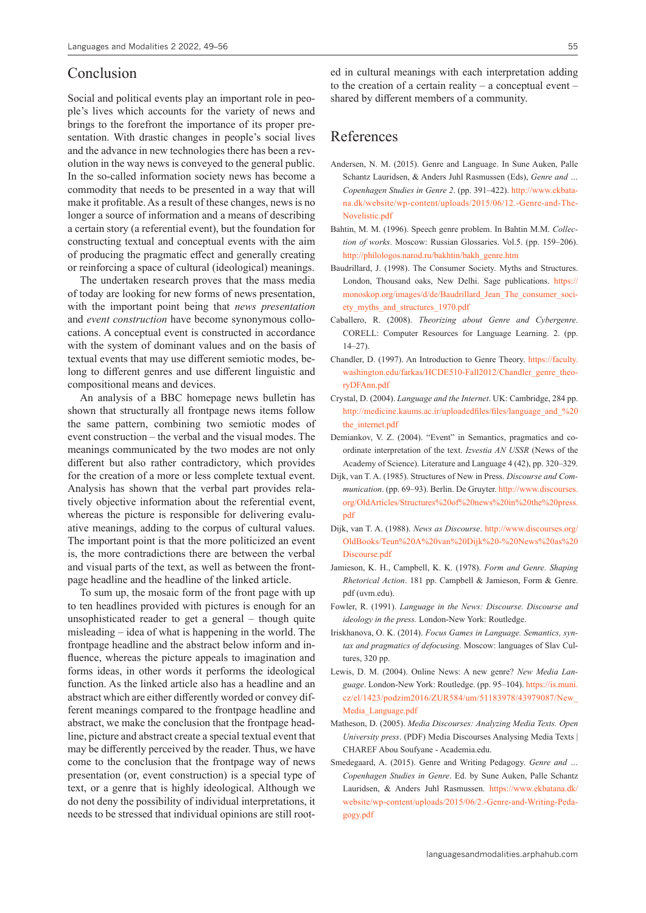## Conclusion

Social and political events play an important role in people's lives which accounts for the variety of news and brings to the forefront the importance of its proper presentation. With drastic changes in people's social lives and the advance in new technologies there has been a revolution in the way news is conveyed to the general public. In the so-called information society news has become a commodity that needs to be presented in a way that will make it profitable. As a result of these changes, news is no longer a source of information and a means of describing a certain story (a referential event), but the foundation for constructing textual and conceptual events with the aim of producing the pragmatic effect and generally creating or reinforcing a space of cultural (ideological) meanings.

The undertaken research proves that the mass media of today are looking for new forms of news presentation, with the important point being that *news presentation* and *event construction* have become synonymous collocations. A conceptual event is constructed in accordance with the system of dominant values and on the basis of textual events that may use different semiotic modes, belong to different genres and use different linguistic and compositional means and devices.

An analysis of a BBC homepage news bulletin has shown that structurally all frontpage news items follow the same pattern, combining two semiotic modes of event construction – the verbal and the visual modes. The meanings communicated by the two modes are not only different but also rather contradictory, which provides for the creation of a more or less complete textual event. Analysis has shown that the verbal part provides relatively objective information about the referential event, whereas the picture is responsible for delivering evaluative meanings, adding to the corpus of cultural values. The important point is that the more politicized an event is, the more contradictions there are between the verbal and visual parts of the text, as well as between the frontpage headline and the headline of the linked article.

To sum up, the mosaic form of the front page with up to ten headlines provided with pictures is enough for an unsophisticated reader to get a general – though quite misleading – idea of what is happening in the world. The frontpage headline and the abstract below inform and influence, whereas the picture appeals to imagination and forms ideas, in other words it performs the ideological function. As the linked article also has a headline and an abstract which are either differently worded or convey different meanings compared to the frontpage headline and abstract, we make the conclusion that the frontpage headline, picture and abstract create a special textual event that may be differently perceived by the reader. Thus, we have come to the conclusion that the frontpage way of news presentation (or, event construction) is a special type of text, or a genre that is highly ideological. Although we do not deny the possibility of individual interpretations, it needs to be stressed that individual opinions are still root-

ed in cultural meanings with each interpretation adding to the creation of a certain reality – a conceptual event – shared by different members of a community.

## References

- Andersen, N. M. (2015). Genre and Language. In Sune Auken, Palle Schantz Lauridsen, & Anders Juhl Rasmussen (Eds), *Genre and … Copenhagen Studies in Genre 2*. (pp. 391–422). [http://www.ekbata](http://www.ekbatana.dk/website/wp-content/uploads/2015/06/12.-Genre-and-The-Novelistic.pdf)[na.dk/website/wp-content/uploads/2015/06/12.-Genre-and-The-](http://www.ekbatana.dk/website/wp-content/uploads/2015/06/12.-Genre-and-The-Novelistic.pdf)[Novelistic.pdf](http://www.ekbatana.dk/website/wp-content/uploads/2015/06/12.-Genre-and-The-Novelistic.pdf)
- Bahtin, M. M. (1996). Speech genre problem. In Bahtin М.М. *Collection of works*. Moscow: Russian Glossaries. Vol.5. (pp. 159–206). [http://philologos.narod.ru/bakhtin/bakh\\_genre.htm](http://philologos.narod.ru/bakhtin/bakh_genre.htm)
- Baudrillard, J. (1998). The Consumer Society. Myths and Structures. London, Thousand oaks, New Delhi. Sage publications. [https://](https://monoskop.org/images/d/de/Baudrillard_Jean_The_consumer_society_myths_and_structures_1970.pdf) [monoskop.org/images/d/de/Baudrillard\\_Jean\\_The\\_consumer\\_soci](https://monoskop.org/images/d/de/Baudrillard_Jean_The_consumer_society_myths_and_structures_1970.pdf)[ety\\_myths\\_and\\_structures\\_1970.pdf](https://monoskop.org/images/d/de/Baudrillard_Jean_The_consumer_society_myths_and_structures_1970.pdf)
- Caballero, R. (2008). *Theorizing about Genre and Cybergenre*. CORELL: Computer Resources for Language Learning. 2. (pp.  $14 - 27$ ).
- Chandler, D. (1997). An Introduction to Genre Theory. [https://faculty.](https://faculty.washington.edu/farkas/HCDE510-Fall2012/Chandler_genre_theoryDFAnn.pdf) [washington.edu/farkas/HCDE510-Fall2012/Chandler\\_genre\\_theo](https://faculty.washington.edu/farkas/HCDE510-Fall2012/Chandler_genre_theoryDFAnn.pdf)[ryDFAnn.pdf](https://faculty.washington.edu/farkas/HCDE510-Fall2012/Chandler_genre_theoryDFAnn.pdf)
- Crystal, D. (2004). *Language and the Internet*. UK: Cambridge, 284 pp. [http://medicine.kaums.ac.ir/uploadedfiles/files/language\\_and\\_%20](http://medicine.kaums.ac.ir/uploadedfiles/files/language_and_%20the_internet.pdf) [the\\_internet.pdf](http://medicine.kaums.ac.ir/uploadedfiles/files/language_and_%20the_internet.pdf)
- Demiankov, V. Z. (2004). "Event" in Semantics, pragmatics and coordinate interpretation of the text. *Izvestia AN USSR* (News of the Academy of Science). Literature and Language 4 (42), pp. 320–329.
- Dijk, van T. A. (1985). Structures of New in Press. *Discourse and Communication*. (pp. 69–93). Berlin. De Gruyter. [http://www.discourses.](http://www.discourses.org/OldArticles/Structures%20of%20news%20in%20the%20press.pdf) [org/OldArticles/Structures%20of%20news%20in%20the%20press.](http://www.discourses.org/OldArticles/Structures%20of%20news%20in%20the%20press.pdf) [pdf](http://www.discourses.org/OldArticles/Structures%20of%20news%20in%20the%20press.pdf)
- Dijk, van T. A. (1988). *News as Discourse*. [http://www.discourses.org/](http://www.discourses.org/OldBooks/Teun%20A%20van%20Dijk%20-%20News%20as%20Discourse.pdf) [OldBooks/Teun%20A%20van%20Dijk%20-%20News%20as%20](http://www.discourses.org/OldBooks/Teun%20A%20van%20Dijk%20-%20News%20as%20Discourse.pdf) [Discourse.pdf](http://www.discourses.org/OldBooks/Teun%20A%20van%20Dijk%20-%20News%20as%20Discourse.pdf)
- Jamieson, K. H., Campbell, K. K. (1978). *Form and Genre. Shaping Rhetorical Action*. 181 pp. Campbell & Jamieson, Form & Genre. pdf (uvm.edu).
- Fowler, R. (1991). *Language in the News: Discourse. Discourse and ideology in the press.* London-New York: Routledge.
- Iriskhanova, O. K. (2014). *Focus Games in Language. Semantics, syntax and pragmatics of defocusing*. Moscow: languages of Slav Cultures, 320 pp.
- Lewis, D. M. (2004). Online News: A new genre? *New Media Language*. London-New York: Routledge. (pp. 95–104). [https://is.muni.](https://is.muni.cz/el/1423/podzim2016/ZUR584/um/51183978/43979087/New_Media_Language.pdf) [cz/el/1423/podzim2016/ZUR584/um/51183978/43979087/New\\_](https://is.muni.cz/el/1423/podzim2016/ZUR584/um/51183978/43979087/New_Media_Language.pdf) [Media\\_Language.pdf](https://is.muni.cz/el/1423/podzim2016/ZUR584/um/51183978/43979087/New_Media_Language.pdf)
- Matheson, D. (2005). *Media Discourses: Analyzing Media Texts. Open University press*. (PDF) Media Discourses Analysing Media Texts | CHAREF Abou Soufyane - Academia.edu.
- Smedegaard, A. (2015). Genre and Writing Pedagogy. *Genre and … Copenhagen Studies in Genre*. Ed. by Sune Auken, Palle Schantz Lauridsen, & Anders Juhl Rasmussen. [https://www.ekbatana.dk/](https://www.ekbatana.dk/website/wp-content/uploads/2015/06/2.-Genre-and-Writing-Pedagogy.pdf) [website/wp-content/uploads/2015/06/2.-Genre-and-Writing-Peda](https://www.ekbatana.dk/website/wp-content/uploads/2015/06/2.-Genre-and-Writing-Pedagogy.pdf)[gogy.pdf](https://www.ekbatana.dk/website/wp-content/uploads/2015/06/2.-Genre-and-Writing-Pedagogy.pdf)